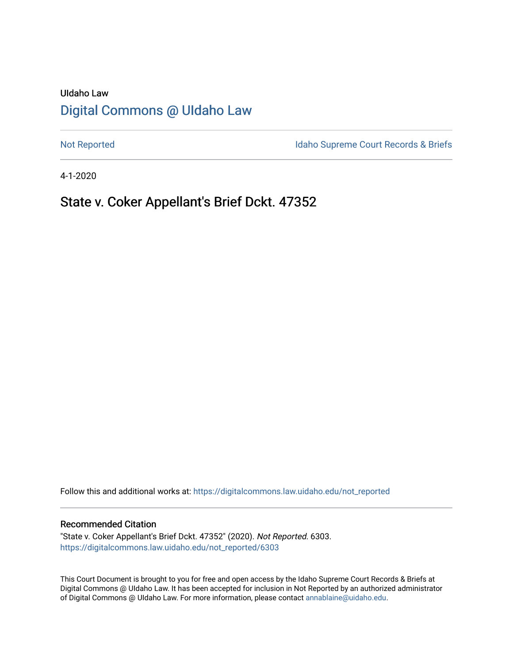# UIdaho Law [Digital Commons @ UIdaho Law](https://digitalcommons.law.uidaho.edu/)

[Not Reported](https://digitalcommons.law.uidaho.edu/not_reported) **Idaho Supreme Court Records & Briefs** 

4-1-2020

## State v. Coker Appellant's Brief Dckt. 47352

Follow this and additional works at: [https://digitalcommons.law.uidaho.edu/not\\_reported](https://digitalcommons.law.uidaho.edu/not_reported?utm_source=digitalcommons.law.uidaho.edu%2Fnot_reported%2F6303&utm_medium=PDF&utm_campaign=PDFCoverPages) 

#### Recommended Citation

"State v. Coker Appellant's Brief Dckt. 47352" (2020). Not Reported. 6303. [https://digitalcommons.law.uidaho.edu/not\\_reported/6303](https://digitalcommons.law.uidaho.edu/not_reported/6303?utm_source=digitalcommons.law.uidaho.edu%2Fnot_reported%2F6303&utm_medium=PDF&utm_campaign=PDFCoverPages)

This Court Document is brought to you for free and open access by the Idaho Supreme Court Records & Briefs at Digital Commons @ UIdaho Law. It has been accepted for inclusion in Not Reported by an authorized administrator of Digital Commons @ UIdaho Law. For more information, please contact [annablaine@uidaho.edu](mailto:annablaine@uidaho.edu).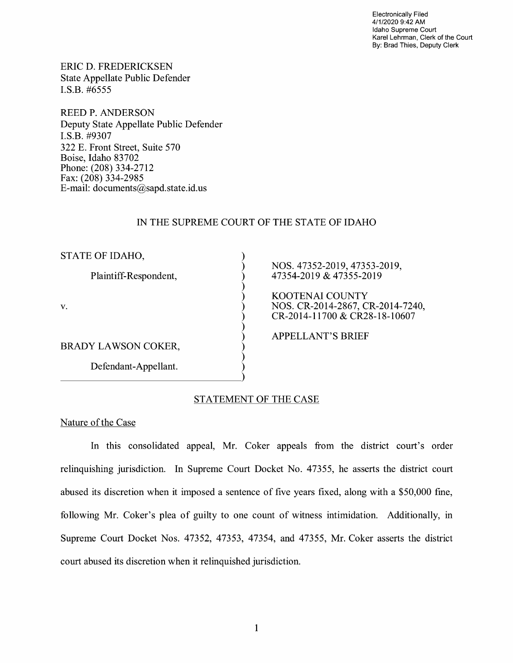Electronically Filed 4/1/2020 9:42 AM Idaho Supreme Court Karel Lehrman, Clerk of the Court By: Brad Thies, Deputy Clerk

ERIC D. FREDERICKSEN State Appellate Public Defender I.S.B. #6555

REED P. ANDERSON Deputy State Appellate Public Defender I.S.B. #9307 322 E. Front Street, Suite 570 Boise, Idaho 83702 Phone: (208) 334-2712 Fax: (208) 334-2985 E-mail: documents@sapd.state.id. us

### IN THE SUPREME COURT OF THE STATE OF IDAHO

) ) ) ) ) ) ) ) ) ) ) )

STATE OF IDAHO,

Plaintiff-Respondent,

V.

BRADY LAWSON COKER,

Defendant-Appellant. Defendant-Appellant.

NOS. 47352-2019, 47353-2019, 47354-2019 & 47355-2019

KOOTENAI COUNTY NOS. CR-2014-2867, CR-2014-7240, CR-2014-11700 & CR28-18-10607

APPELLANT'S BRIEF

### STATEMENT OF THE CASE

Nature of the Case

In this consolidated appeal, Mr. Coker appeals from the district court's order relinquishing jurisdiction. In Supreme Court Docket No. 47355, he asserts the district court abused its discretion when it imposed a sentence of five years fixed, along with a \$50,000 fine, following Mr. Coker's plea of guilty to one count of witness intimidation. Additionally, in Supreme Court Docket Nos. 47352, 47353, 47354, and 47355, Mr. Coker asserts the district court abused its discretion when it relinquished jurisdiction.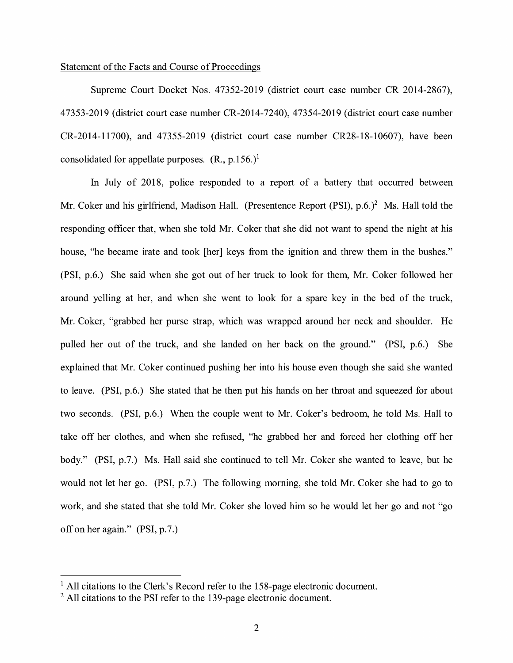#### Statement of the Facts and Course of Proceedings

Supreme Court Docket Nos. 47352-2019 (district court case number CR 2014-2867), 47353-2019 (district court case number CR-2014-7240), 47354-2019 (district court case number CR-2014-11700), and 47355-2019 (district court case number CR28-18-10607), have been consolidated for appellate purposes.  $(R., p.156.)<sup>1</sup>$ 

In July of 2018, police responded to a report of a battery that occurred between Mr. Coker and his girlfriend, Madison Hall. (Presentence Report (PSI),  $p.6.$ )<sup>2</sup> Ms. Hall told the responding officer that, when she told Mr. Coker that she did not want to spend the night at his house, "he became irate and took [her] keys from the ignition and threw them in the bushes." (PSI, p.6.) She said when she got out of her truck to look for them, Mr. Coker followed her around yelling at her, and when she went to look for a spare key in the bed of the truck, Mr. Coker, "grabbed her purse strap, which was wrapped around her neck and shoulder. He pulled her out of the truck, and she landed on her back on the ground." (PSI, p.6.) She explained that Mr. Coker continued pushing her into his house even though she said she wanted to leave. (PSI, p.6.) She stated that he then put his hands on her throat and squeezed for about two seconds. (PSI, p.6.) When the couple went to Mr. Coker's bedroom, he told Ms. Hall to take off her clothes, and when she refused, "he grabbed her and forced her clothing off her body." (PSI, p.7.) Ms. Hall said she continued to tell Mr. Coker she wanted to leave, but he would not let her go. (PSI, p.7.) The following morning, she told Mr. Coker she had to go to work, and she stated that she told Mr. Coker she loved him so he would let her go and not "go off on her again." (PSI, p.7.)

<sup>&</sup>lt;sup>1</sup> All citations to the Clerk's Record refer to the 158-page electronic document.

 $2$  All citations to the PSI refer to the 139-page electronic document.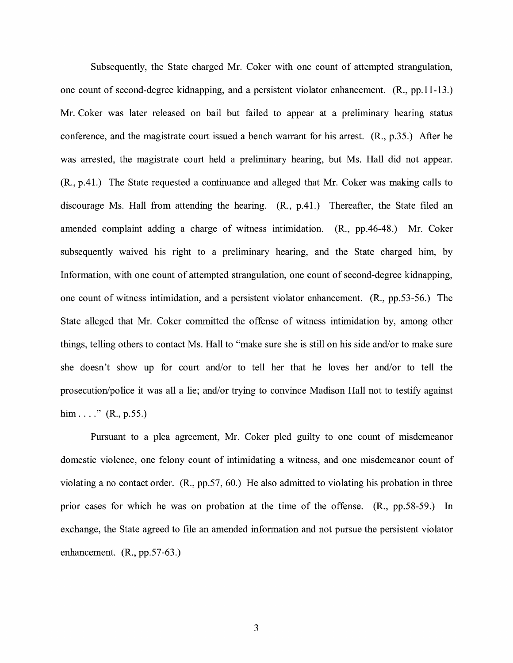Subsequently, the State charged Mr. Coker with one count of attempted strangulation, one count of second-degree kidnapping, and a persistent violator enhancement. (R., pp.11-13.) Mr. Coker was later released on bail but failed to appear at a preliminary hearing status conference, and the magistrate court issued a bench warrant for his arrest. (R., p.35.) After he was arrested, the magistrate court held a preliminary hearing, but Ms. Hall did not appear. (R., p.41.) The State requested a continuance and alleged that Mr. Coker was making calls to discourage Ms. Hall from attending the hearing. **(R.,** p.41.) Thereafter, the State filed an amended complaint adding a charge of witness intimidation. **(R.,** pp.46-48.) Mr. Coker subsequently waived his right to a preliminary hearing, and the State charged him, by Information, with one count of attempted strangulation, one count of second-degree kidnapping, one count of witness intimidation, and a persistent violator enhancement. (R., pp.53-56.) The State alleged that Mr. Coker committed the offense of witness intimidation by, among other things, telling others to contact Ms. Hall to "make sure she is still on his side and/or to make sure she doesn't show up for court and/or to tell her that he loves her and/or to tell the prosecution/police it was all a lie; and/or trying to convince Madison Hall not to testify against him  $\dots$ ." (R., p.55.)

Pursuant to a plea agreement, Mr. Coker pied guilty to one count of misdemeanor domestic violence, one felony count of intimidating a witness, and one misdemeanor count of violating a no contact order. (R., pp.57, 60.) He also admitted to violating his probation in three prior cases for which he was on probation at the time of the offense. (R., pp.58-59.) In exchange, the State agreed to file an amended information and not pursue the persistent violator enhancement. (R., pp.57-63.)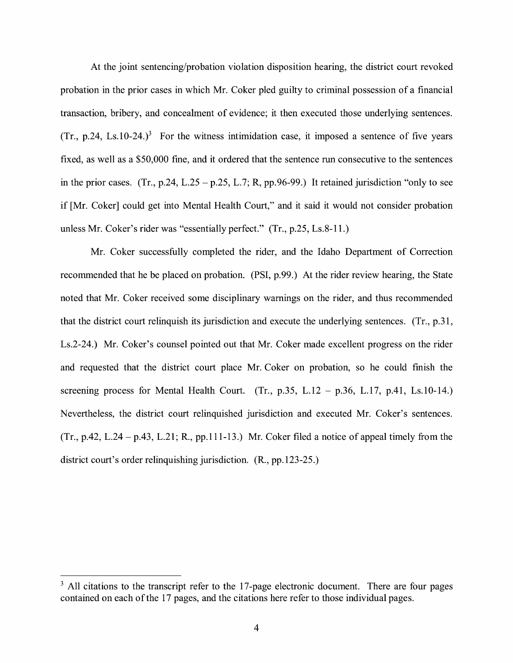At the joint sentencing/probation violation disposition hearing, the district court revoked probation in the prior cases in which Mr. Coker pled guilty to criminal possession of a financial transaction, bribery, and concealment of evidence; it then executed those underlying sentences. (Tr., p.24, Ls.10-24.)<sup>3</sup> For the witness intimidation case, it imposed a sentence of five years fixed, as well as a \$50,000 fme, and it ordered that the sentence run consecutive to the sentences in the prior cases. (Tr., p.24, L.25 – p.25, L.7; R, pp.96-99.) It retained jurisdiction "only to see if [Mr. Coker] could get into Mental Health Court," and it said it would not consider probation unless Mr. Coker's rider was "essentially perfect." (Tr., p.25, Ls.8-11.)

Mr. Coker successfully completed the rider, and the Idaho Department of Correction recommended that he be placed on probation. (PSI, p.99.) At the rider review hearing, the State noted that Mr. Coker received some disciplinary warnings on the rider, and thus recommended that the district court relinquish its jurisdiction and execute the underlying sentences. (Tr., p.31, Ls.2-24.) Mr. Coker's counsel pointed out that Mr. Coker made excellent progress on the rider and requested that the district court place Mr. Coker on probation, so he could fmish the screening process for Mental Health Court. (Tr., p.35, L.12 - p.36, L.17, p.41, Ls.10-14.) Nevertheless, the district court relinquished jurisdiction and executed Mr. Coker's sentences.  $(Tr., p.42, L.24 - p.43, L.21; R., pp.111-13.)$  Mr. Coker filed a notice of appeal timely from the district court's order relinquishing jurisdiction. (R., pp.123-25.)

 $3$  All citations to the transcript refer to the 17-page electronic document. There are four pages contained on each of the 17 pages, and the citations here refer to those individual pages.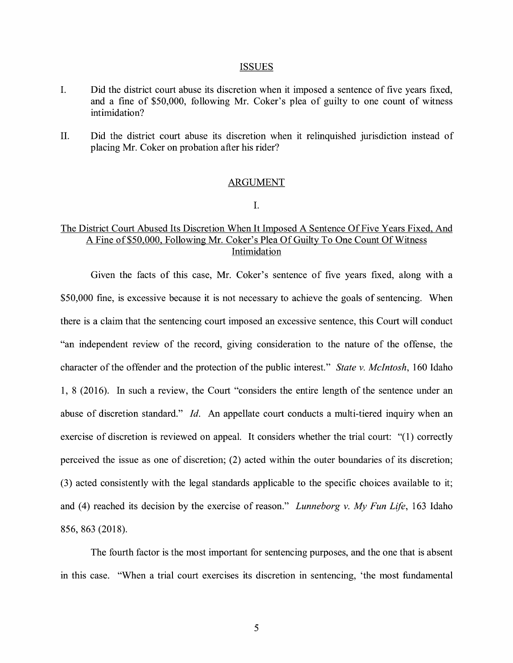#### ISSUES

- I. Did the district court abuse its discretion when it imposed a sentence of five years fixed, and a fine of \$50,000, following Mr. Coker's plea of guilty to one count of witness intimidation?
- II. Did the district court abuse its discretion when it relinquished jurisdiction instead of placing Mr. Coker on probation after his rider?

#### ARGUMENT

I.

## The District Court Abused Its Discretion When It Imposed A Sentence Of Five Years Fixed, And A Fine of\$50,000, Following Mr. Coker's Plea Of Guilty To One Count Of Witness Intimidation

Given the facts of this case, Mr. Coker's sentence of five years fixed, along with a \$50,000 fine, is excessive because it is not necessary to achieve the goals of sentencing. When there is a claim that the sentencing court imposed an excessive sentence, this Court will conduct "an independent review of the record, giving consideration to the nature of the offense, the character of the offender and the protection of the public interest." *State v. McIntosh,* 160 Idaho 1, 8 (2016). In such a review, the Court "considers the entire length of the sentence under an abuse of discretion standard." Id. An appellate court conducts a multi-tiered inquiry when an exercise of discretion is reviewed on appeal. It considers whether the trial court: "(1) correctly perceived the issue as one of discretion; (2) acted within the outer boundaries of its discretion; (3) acted consistently with the legal standards applicable to the specific choices available to it; and (4) reached its decision by the exercise of reason." *Lunneborg v. My Fun Life,* 163 Idaho 856, 863 (2018).

The fourth factor is the most important for sentencing purposes, and the one that is absent in this case. "When a trial court exercises its discretion in sentencing, 'the most fundamental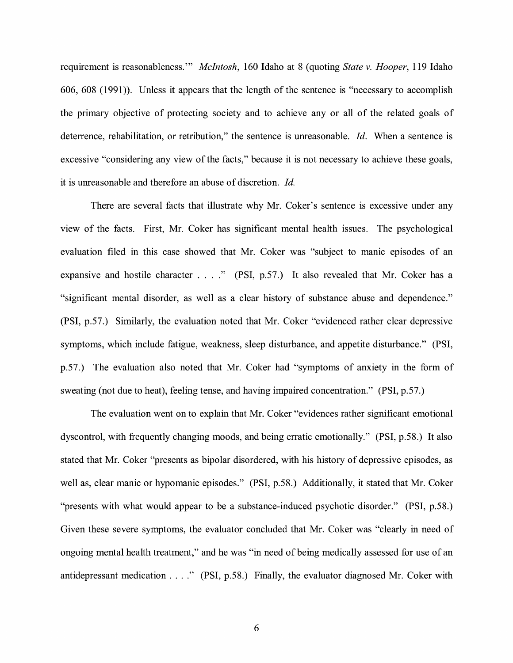requirement is reasonableness."' *McIntosh,* 160 Idaho at 8 (quoting *State v. Hooper,* 119 Idaho 606, 608 (1991)). Unless it appears that the length of the sentence is "necessary to accomplish the primary objective of protecting society and to achieve any or all of the related goals of deterrence, rehabilitation, or retribution," the sentence is unreasonable. *Id.* When a sentence is excessive "considering any view of the facts," because it is not necessary to achieve these goals, it is unreasonable and therefore an abuse of discretion. *Id.* 

There are several facts that illustrate why Mr. Coker's sentence is excessive under any view of the facts. First, Mr. Coker has significant mental health issues. The psychological evaluation filed in this case showed that Mr. Coker was "subject to manic episodes of an expansive and hostile character . . . ." (PSI, p.57.) It also revealed that Mr. Coker has a "significant mental disorder, as well as a clear history of substance abuse and dependence." (PSI, p.57.) Similarly, the evaluation noted that Mr. Coker "evidenced rather clear depressive symptoms, which include fatigue, weakness, sleep disturbance, and appetite disturbance." (PSI, p.57.) The evaluation also noted that Mr. Coker had "symptoms of anxiety in the form of sweating (not due to heat), feeling tense, and having impaired concentration." (PSI, p.57.)

The evaluation went on to explain that Mr. Coker "evidences rather significant emotional dyscontrol, with frequently changing moods, and being erratic emotionally." (PSI, p.58.) It also stated that Mr. Coker "presents as bipolar disordered, with his history of depressive episodes, as well as, clear manic or hypomanic episodes." (PSI, p.58.) Additionally, it stated that Mr. Coker "presents with what would appear to be a substance-induced psychotic disorder." (PSI, p.58.) Given these severe symptoms, the evaluator concluded that Mr. Coker was "clearly in need of ongoing mental health treatment," and he was "in need of being medically assessed for use of an antidepressant medication . . . ." (PSI, p.58.) Finally, the evaluator diagnosed Mr. Coker with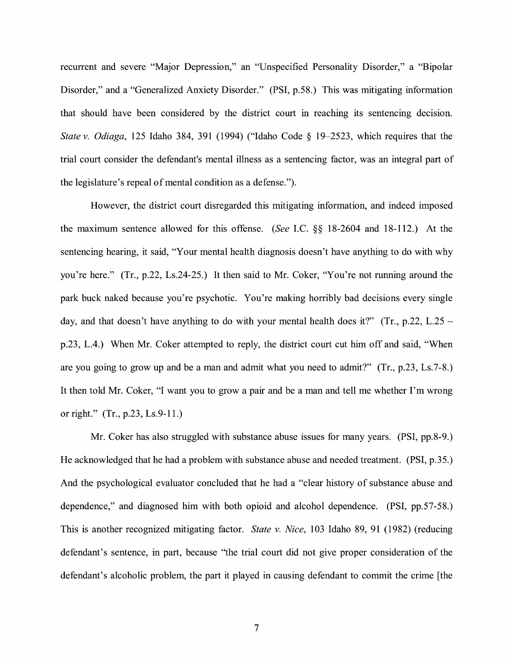recurrent and severe "Major Depression," an "Unspecified Personality Disorder," a "Bipolar Disorder," and a "Generalized Anxiety Disorder." (PSI, p.58.) This was mitigating information that should have been considered by the district court in reaching its sentencing decision. *State v. Odiaga,* 125 Idaho 384, 391 (1994) ("Idaho Code § 19-2523, which requires that the trial court consider the defendant's mental illness as a sentencing factor, was an integral part of the legislature's repeal of mental condition as a defense.").

However, the district court disregarded this mitigating information, and indeed imposed the maximum sentence allowed for this offense. *(See* LC. §§ 18-2604 and 18-112.) At the sentencing hearing, it said, "Your mental health diagnosis doesn't have anything to do with why you're here." (Tr., p.22, Ls.24-25.) It then said to Mr. Coker, "You're not running around the park buck naked because you're psychotic. You're making horribly bad decisions every single day, and that doesn't have anything to do with your mental health does it?" (Tr., p.22, L.25 – p.23, L.4.) When Mr. Coker attempted to reply, the district court cut him off and said, "When are you going to grow up and be a man and admit what you need to admit?" (Tr., p.23, Ls.7-8.) It then told Mr. Coker, "I want you to grow a pair and be a man and tell me whether I'm wrong or right." (Tr., p.23, Ls.9-11.)

Mr. Coker has also struggled with substance abuse issues for many years. (PSI, pp.8-9.) He acknowledged that he had a problem with substance abuse and needed treatment. (PSI, p.35.) And the psychological evaluator concluded that he had a "clear history of substance abuse and dependence," and diagnosed him with both opioid and alcohol dependence. (PSI, pp.57-58.) This is another recognized mitigating factor. *State v. Nice,* 103 Idaho 89, 91 (1982) (reducing defendant's sentence, in part, because "the trial court did not give proper consideration of the defendant's alcoholic problem, the part it played in causing defendant to commit the crime [the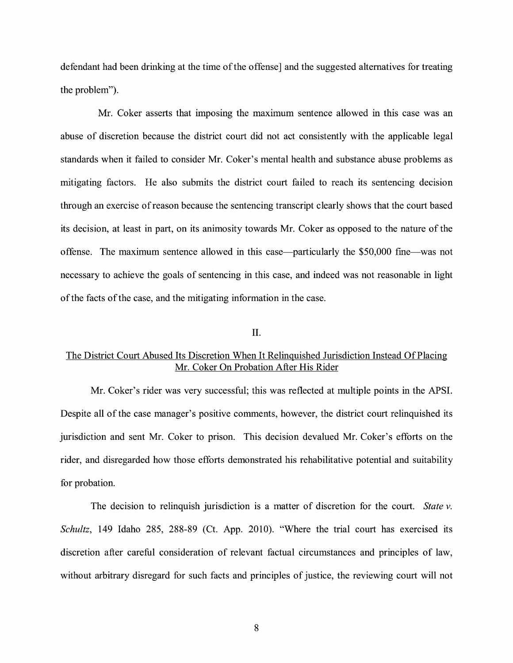defendant had been drinking at the time of the offense] and the suggested alternatives for treating the problem").

Mr. Coker asserts that imposing the maximum sentence allowed in this case was an abuse of discretion because the district court did not act consistently with the applicable legal standards when it failed to consider Mr. Coker's mental health and substance abuse problems as mitigating factors. He also submits the district court failed to reach its sentencing decision through an exercise of reason because the sentencing transcript clearly shows that the court based its decision, at least in part, on its animosity towards Mr. Coker as opposed to the nature of the offense. The maximum sentence allowed in this case-particularly the \$50,000 fine-was not necessary to achieve the goals of sentencing in this case, and indeed was not reasonable in light of the facts of the case, and the mitigating information in the case.

## II.

## The District Court Abused Its Discretion When It Relinquished Jurisdiction Instead Of Placing Mr. Coker On Probation After His Rider

Mr. Coker's rider was very successful; this was reflected at multiple points in the APSI. Despite all of the case manager's positive comments, however, the district court relinquished its jurisdiction and sent Mr. Coker to prison. This decision devalued Mr. Coker's efforts on the rider, and disregarded how those efforts demonstrated his rehabilitative potential and suitability for probation.

The decision to relinquish jurisdiction is a matter of discretion for the court. *State v. Schultz,* 149 Idaho 285, 288-89 (Ct. App. 2010). "Where the trial court has exercised its discretion after careful consideration of relevant factual circumstances and principles of law, without arbitrary disregard for such facts and principles of justice, the reviewing court will not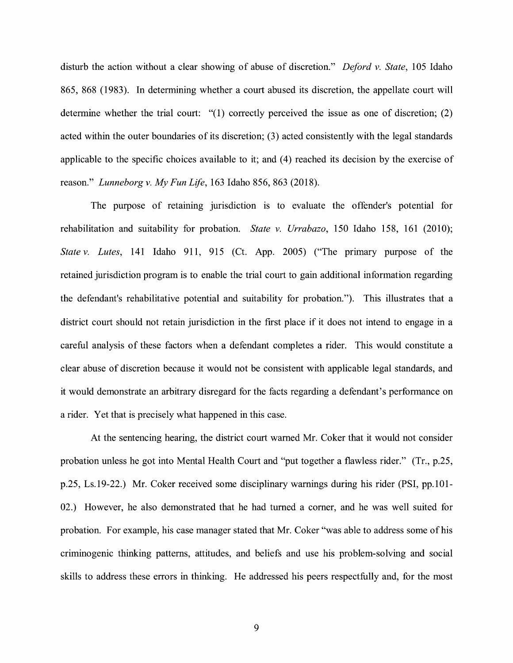disturb the action without a clear showing of abuse of discretion." *Deford v. State,* 105 Idaho 865, 868 (1983). In determining whether a court abused its discretion, the appellate court will determine whether the trial court: "(l) correctly perceived the issue as one of discretion; (2) acted within the outer boundaries of its discretion; (3) acted consistently with the legal standards applicable to the specific choices available to it; and (4) reached its decision by the exercise of reason." *Lunneborg v. My Fun Life,* 163 Idaho 856, 863 (2018).

The purpose of retaining jurisdiction is to evaluate the offender's potential for rehabilitation and suitability for probation. *State v. Urrabazo,* 150 Idaho 158, 161 (2010); *State v. Lutes,* 141 Idaho 911, 915 (Ct. App. 2005) ("The primary purpose of the retained jurisdiction program is to enable the trial court to gain additional information regarding the defendant's rehabilitative potential and suitability for probation."). This illustrates that a district court should not retain jurisdiction in the first place if it does not intend to engage in a careful analysis of these factors when a defendant completes a rider. This would constitute a clear abuse of discretion because it would not be consistent with applicable legal standards, and it would demonstrate an arbitrary disregard for the facts regarding a defendant's performance on a rider. Yet that is precisely what happened in this case.

At the sentencing hearing, the district court warned Mr. Coker that it would not consider probation unless he got into Mental Health Court and "put together a flawless rider." (Tr., p.25, p.25, Ls.19-22.) Mr. Coker received some disciplinary warnings during his rider (PSI, pp.101- 02.) However, he also demonstrated that he had turned a comer, and he was well suited for probation. For example, his case manager stated that Mr. Coker "was able to address some of his criminogenic thinking patterns, attitudes, and beliefs and use his problem-solving and social skills to address these errors in thinking. He addressed his peers respectfully and, for the most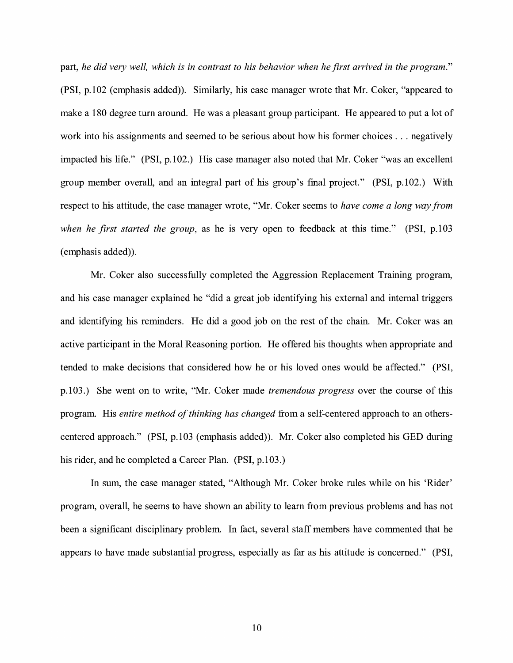part, *he did very well, which is in contrast to his behavior when he first arrived in the program."*  (PSI, p.102 (emphasis added)). Similarly, his case manager wrote that Mr. Coker, "appeared to make a 180 degree tum around. He was a pleasant group participant. He appeared to put a lot of work into his assignments and seemed to be serious about how his former choices ... negatively impacted his life." (PSI, p.102.) His case manager also noted that Mr. Coker "was an excellent group member overall, and an integral part of his group's final project." (PSI, p.102.) With respect to his attitude, the case manager wrote, "Mr. Coker seems to *have come a long way from when he first started the group,* as he is very open to feedback at this time." **(PSI,** p.103 (emphasis added)).

Mr. Coker also successfully completed the Aggression Replacement Training program, and his case manager explained he "did a great job identifying his external and internal triggers and identifying his reminders. He did a good job on the rest of the chain. Mr. Coker was an active participant in the Moral Reasoning portion. He offered his thoughts when appropriate and tended to make decisions that considered how he or his loved ones would be affected." (PSI, p.103.) She went on to write, "Mr. Coker made *tremendous progress* over the course of this program. His *entire method of thinking has changed* from a self-centered approach to an otherscentered approach." (PSI, p.103 (emphasis added)). Mr. Coker also completed his GED during his rider, and he completed a Career Plan. **(PSI,** p.103.)

In sum, the case manager stated, "Although Mr. Coker broke rules while on his 'Rider' program, overall, he seems to have shown an ability to learn from previous problems and has not been a significant disciplinary problem. In fact, several staff members have commented that he appears to have made substantial progress, especially as far as his attitude is concerned." **(PSI,**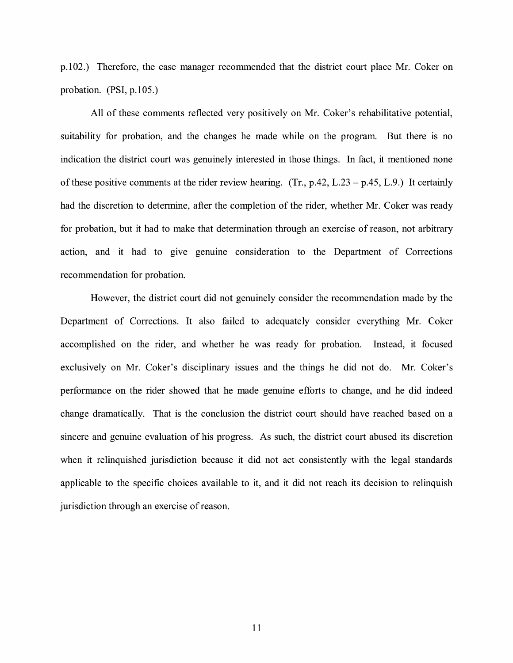p.102.) Therefore, the case manager recommended that the district court place Mr. Coker on probation. (PSI, p.105.)

All of these comments reflected very positively on Mr. Coker's rehabilitative potential, suitability for probation, and the changes he made while on the program. But there is no indication the district court was genuinely interested in those things. In fact, it mentioned none of these positive comments at the rider review hearing. (Tr.,  $p.42$ , L.23 –  $p.45$ , L.9.) It certainly had the discretion to determine, after the completion of the rider, whether Mr. Coker was ready for probation, but it had to make that determination through an exercise of reason, not arbitrary action, and it had to give genuine consideration to the Department of Corrections recommendation for probation.

However, the district court did not genuinely consider the recommendation made by the Department of Corrections. It also failed to adequately consider everything Mr. Coker accomplished on the rider, and whether he was ready for probation. Instead, it focused exclusively on Mr. Coker's disciplinary issues and the things he did not do. Mr. Coker's performance on the rider showed that he made genuine efforts to change, and he did indeed change dramatically. That is the conclusion the district court should have reached based on a sincere and genuine evaluation of his progress. As such, the district court abused its discretion when it relinquished jurisdiction because it did not act consistently with the legal standards applicable to the specific choices available to it, and it did not reach its decision to relinquish jurisdiction through an exercise of reason.